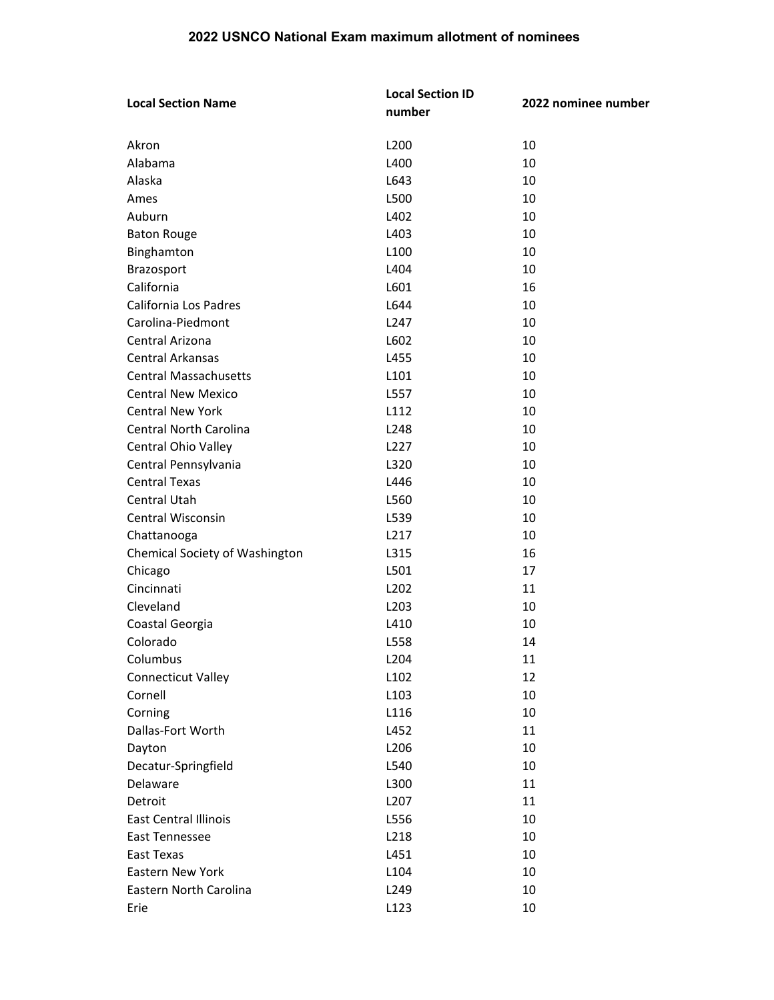| <b>Local Section Name</b>      | <b>Local Section ID</b> | 2022 nominee number |
|--------------------------------|-------------------------|---------------------|
|                                | number                  |                     |
|                                |                         |                     |
| Akron                          | L200                    | 10                  |
| Alabama                        | L400                    | 10                  |
| Alaska                         | L643                    | 10                  |
| Ames                           | L500                    | 10                  |
| Auburn                         | L402                    | 10                  |
| <b>Baton Rouge</b>             | L403                    | 10                  |
| Binghamton                     | L100                    | 10                  |
| Brazosport                     | L404                    | 10                  |
| California                     | L601                    | 16                  |
| California Los Padres          | L644                    | 10                  |
| Carolina-Piedmont              | L247                    | 10                  |
| Central Arizona                | L602                    | 10                  |
| <b>Central Arkansas</b>        | L455                    | 10                  |
| <b>Central Massachusetts</b>   | L101                    | 10                  |
| <b>Central New Mexico</b>      | L557                    | 10                  |
| <b>Central New York</b>        | L112                    | 10                  |
| Central North Carolina         | L248                    | 10                  |
| Central Ohio Valley            | L227                    | 10                  |
| Central Pennsylvania           | L320                    | 10                  |
| <b>Central Texas</b>           | L446                    | 10                  |
| <b>Central Utah</b>            | L560                    | 10                  |
| Central Wisconsin              | L539                    | 10                  |
| Chattanooga                    | L217                    | 10                  |
| Chemical Society of Washington | L315                    | 16                  |
| Chicago                        | L501                    | 17                  |
| Cincinnati                     | L202                    | 11                  |
| Cleveland                      | L203                    | 10                  |
| Coastal Georgia                | L410                    | 10                  |
| Colorado                       | L558                    | 14                  |
| Columbus                       | L204                    | 11                  |
| <b>Connecticut Valley</b>      | L102                    | 12                  |
| Cornell                        | L103                    | 10                  |
| Corning                        | L116                    | 10                  |
| Dallas-Fort Worth              | L452                    | 11                  |
| Dayton                         | L206                    | 10                  |
| Decatur-Springfield            | L540                    | 10                  |
| Delaware                       | L300                    | 11                  |
| Detroit                        | L207                    | 11                  |
| <b>East Central Illinois</b>   | L556                    | 10                  |
| East Tennessee                 | L218                    | 10                  |
| East Texas                     | L451                    | 10                  |
| Eastern New York               | L104                    | 10                  |
| Eastern North Carolina         | L249                    | 10                  |
| Erie                           | L123                    | 10                  |
|                                |                         |                     |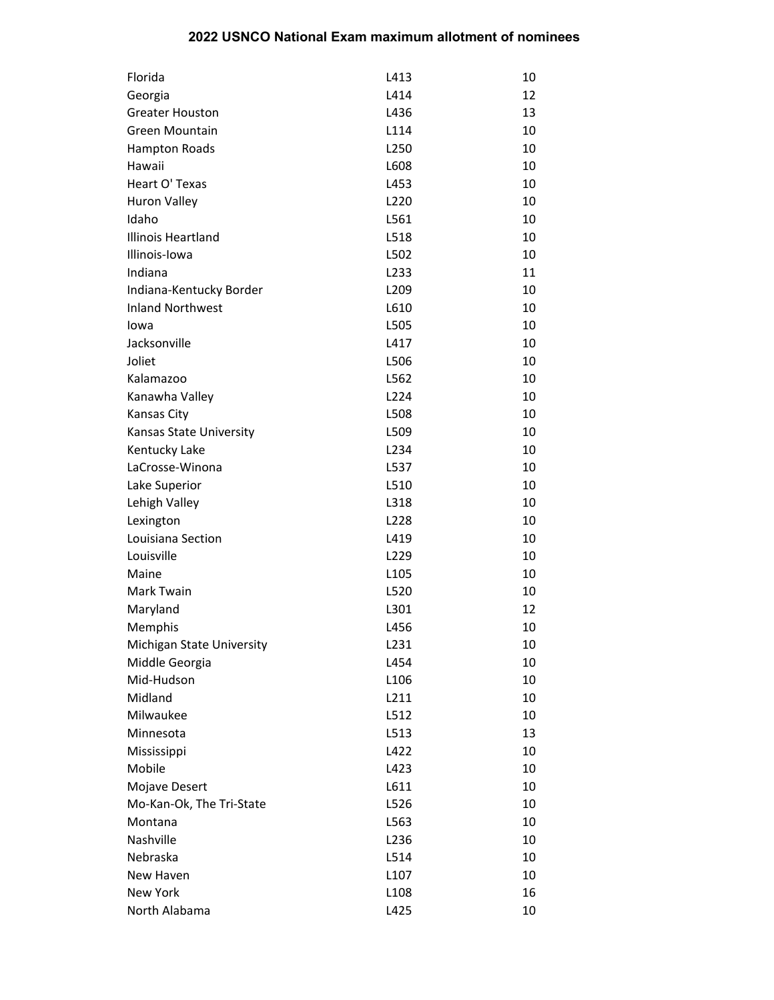| Florida                   | L413              | 10 |
|---------------------------|-------------------|----|
| Georgia                   | L414              | 12 |
| <b>Greater Houston</b>    | L436              | 13 |
| Green Mountain            | L114              | 10 |
| <b>Hampton Roads</b>      | L250              | 10 |
| Hawaii                    | L608              | 10 |
| Heart O' Texas            | L453              | 10 |
| <b>Huron Valley</b>       | L220              | 10 |
| Idaho                     | L561              | 10 |
| Illinois Heartland        | L518              | 10 |
| Illinois-Iowa             | L502              | 10 |
| Indiana                   | L <sub>2</sub> 33 | 11 |
| Indiana-Kentucky Border   | L <sub>209</sub>  | 10 |
| <b>Inland Northwest</b>   | L610              | 10 |
| Iowa                      | L505              | 10 |
| Jacksonville              | L417              | 10 |
| Joliet                    | L506              | 10 |
| Kalamazoo                 | L562              | 10 |
| Kanawha Valley            | L224              | 10 |
| Kansas City               | L508              | 10 |
| Kansas State University   | L509              | 10 |
| Kentucky Lake             | L <sub>234</sub>  | 10 |
| LaCrosse-Winona           | L537              | 10 |
| Lake Superior             | L510              | 10 |
| Lehigh Valley             | L318              | 10 |
| Lexington                 | L228              | 10 |
| Louisiana Section         | L419              | 10 |
| Louisville                | L <sub>229</sub>  | 10 |
| Maine                     | L <sub>105</sub>  | 10 |
| Mark Twain                | L520              | 10 |
| Maryland                  | L301              | 12 |
| Memphis                   | L456              | 10 |
| Michigan State University | L <sub>231</sub>  | 10 |
| Middle Georgia            | L454              | 10 |
| Mid-Hudson                | L <sub>106</sub>  | 10 |
| Midland                   | L211              | 10 |
| Milwaukee                 | L512              | 10 |
| Minnesota                 | L513              | 13 |
| Mississippi               | L422              | 10 |
| Mobile                    | L423              | 10 |
| Mojave Desert             | L611              | 10 |
| Mo-Kan-Ok, The Tri-State  | L526              | 10 |
| Montana                   | L563              | 10 |
| Nashville                 | L <sub>236</sub>  | 10 |
| Nebraska                  | L514              | 10 |
| New Haven                 | L <sub>107</sub>  | 10 |
| New York                  | L <sub>108</sub>  | 16 |
| North Alabama             | L425              | 10 |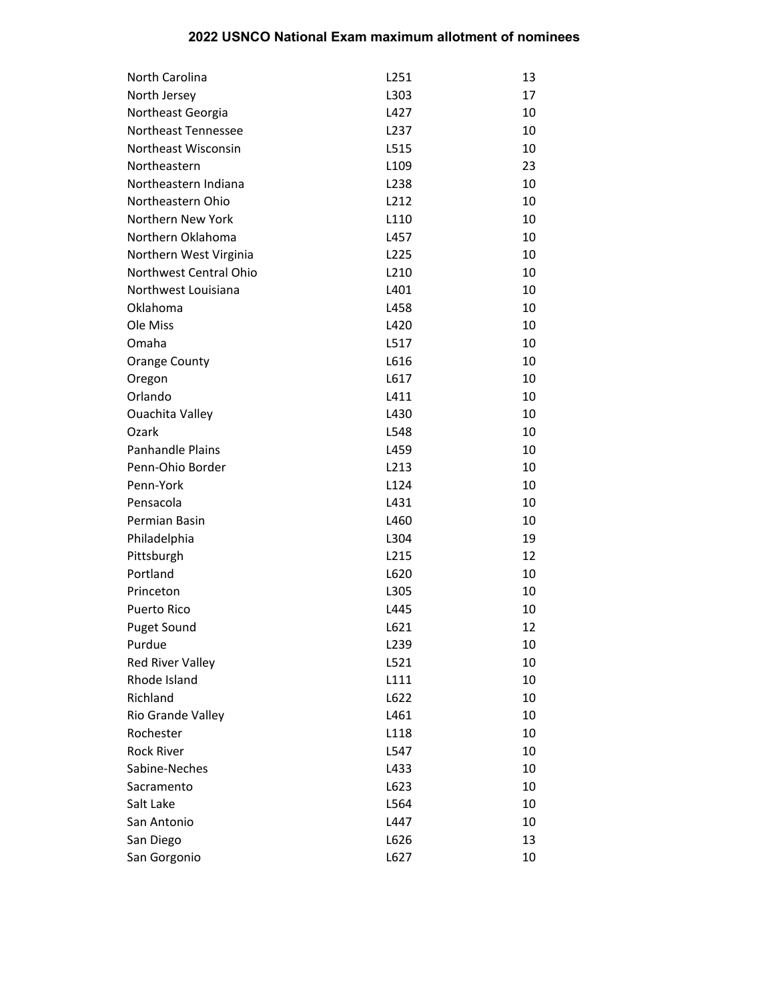| North Carolina          | L251             | 13 |
|-------------------------|------------------|----|
| North Jersey            | L303             | 17 |
| Northeast Georgia       | L427             | 10 |
| Northeast Tennessee     | L <sub>237</sub> | 10 |
| Northeast Wisconsin     | L515             | 10 |
| Northeastern            | L <sub>109</sub> | 23 |
| Northeastern Indiana    | L <sub>238</sub> | 10 |
| Northeastern Ohio       | L212             | 10 |
| Northern New York       | L110             | 10 |
| Northern Oklahoma       | L457             | 10 |
| Northern West Virginia  | L <sub>225</sub> | 10 |
| Northwest Central Ohio  | L210             | 10 |
| Northwest Louisiana     | L401             | 10 |
| Oklahoma                | L458             | 10 |
| Ole Miss                | L420             | 10 |
| Omaha                   | L517             | 10 |
| <b>Orange County</b>    | L616             | 10 |
| Oregon                  | L617             | 10 |
| Orlando                 | L411             | 10 |
| <b>Ouachita Valley</b>  | L430             | 10 |
| Ozark                   | L548             | 10 |
| <b>Panhandle Plains</b> | L459             | 10 |
| Penn-Ohio Border        | L213             | 10 |
| Penn-York               | L124             | 10 |
| Pensacola               | L431             | 10 |
| Permian Basin           | L460             | 10 |
| Philadelphia            | L304             | 19 |
| Pittsburgh              | L215             | 12 |
| Portland                | L620             | 10 |
| Princeton               | L305             | 10 |
| <b>Puerto Rico</b>      | L445             | 10 |
| <b>Puget Sound</b>      | L621             | 12 |
| Purdue                  | L <sub>239</sub> | 10 |
| Red River Valley        | L521             | 10 |
| Rhode Island            | L111             | 10 |
| Richland                | L622             | 10 |
| Rio Grande Valley       | L461             | 10 |
| Rochester               | L118             | 10 |
| <b>Rock River</b>       | L547             | 10 |
| Sabine-Neches           | L433             | 10 |
| Sacramento              | L623             | 10 |
| Salt Lake               | L564             | 10 |
| San Antonio             | L447             | 10 |
| San Diego               | L626             | 13 |
| San Gorgonio            | L627             | 10 |